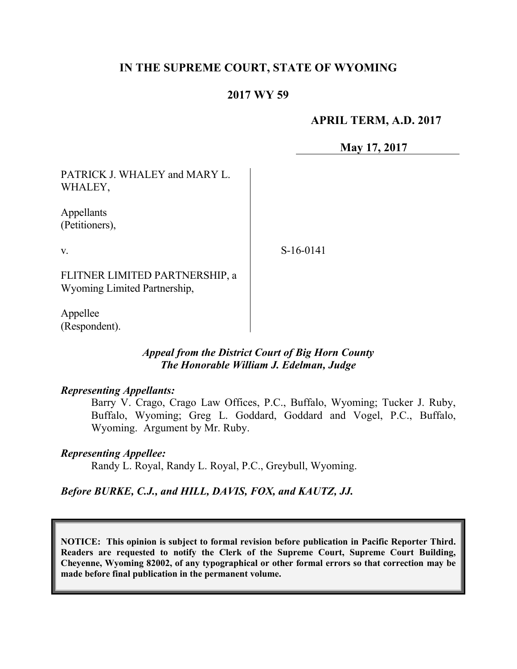# **IN THE SUPREME COURT, STATE OF WYOMING**

## **2017 WY 59**

#### **APRIL TERM, A.D. 2017**

**May 17, 2017**

| PATRICK J. WHALEY and MARY L.<br>WHALEY,                       |           |
|----------------------------------------------------------------|-----------|
| Appellants<br>(Petitioners),                                   |           |
| $V_{\cdot}$                                                    | S-16-0141 |
| FLITNER LIMITED PARTNERSHIP, a<br>Wyoming Limited Partnership, |           |
| Appellee<br>(Respondent).                                      |           |

#### *Appeal from the District Court of Big Horn County The Honorable William J. Edelman, Judge*

#### *Representing Appellants:*

Barry V. Crago, Crago Law Offices, P.C., Buffalo, Wyoming; Tucker J. Ruby, Buffalo, Wyoming; Greg L. Goddard, Goddard and Vogel, P.C., Buffalo, Wyoming. Argument by Mr. Ruby.

#### *Representing Appellee:*

Randy L. Royal, Randy L. Royal, P.C., Greybull, Wyoming.

## *Before BURKE, C.J., and HILL, DAVIS, FOX, and KAUTZ, JJ.*

**NOTICE: This opinion is subject to formal revision before publication in Pacific Reporter Third. Readers are requested to notify the Clerk of the Supreme Court, Supreme Court Building, Cheyenne, Wyoming 82002, of any typographical or other formal errors so that correction may be made before final publication in the permanent volume.**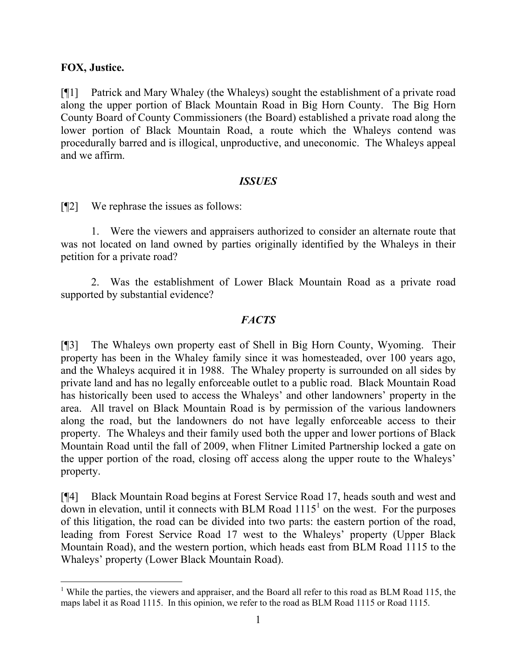#### **FOX, Justice.**

[¶1] Patrick and Mary Whaley (the Whaleys) sought the establishment of a private road along the upper portion of Black Mountain Road in Big Horn County. The Big Horn County Board of County Commissioners (the Board) established a private road along the lower portion of Black Mountain Road, a route which the Whaleys contend was procedurally barred and is illogical, unproductive, and uneconomic. The Whaleys appeal and we affirm.

#### *ISSUES*

[¶2] We rephrase the issues as follows:

1. Were the viewers and appraisers authorized to consider an alternate route that was not located on land owned by parties originally identified by the Whaleys in their petition for a private road?

2. Was the establishment of Lower Black Mountain Road as a private road supported by substantial evidence?

## *FACTS*

[¶3] The Whaleys own property east of Shell in Big Horn County, Wyoming. Their property has been in the Whaley family since it was homesteaded, over 100 years ago, and the Whaleys acquired it in 1988. The Whaley property is surrounded on all sides by private land and has no legally enforceable outlet to a public road. Black Mountain Road has historically been used to access the Whaleys' and other landowners' property in the area. All travel on Black Mountain Road is by permission of the various landowners along the road, but the landowners do not have legally enforceable access to their property. The Whaleys and their family used both the upper and lower portions of Black Mountain Road until the fall of 2009, when Flitner Limited Partnership locked a gate on the upper portion of the road, closing off access along the upper route to the Whaleys' property.

[¶4] Black Mountain Road begins at Forest Service Road 17, heads south and west and  $d$ <sub>own</sub> in elevation, until it connects with BLM Road  $1115<sup>1</sup>$  on the west. For the purposes of this litigation, the road can be divided into two parts: the eastern portion of the road, leading from Forest Service Road 17 west to the Whaleys' property (Upper Black Mountain Road), and the western portion, which heads east from BLM Road 1115 to the Whaleys' property (Lower Black Mountain Road).

<sup>&</sup>lt;sup>1</sup> While the parties, the viewers and appraiser, and the Board all refer to this road as BLM Road 115, the maps label it as Road 1115. In this opinion, we refer to the road as BLM Road 1115 or Road 1115.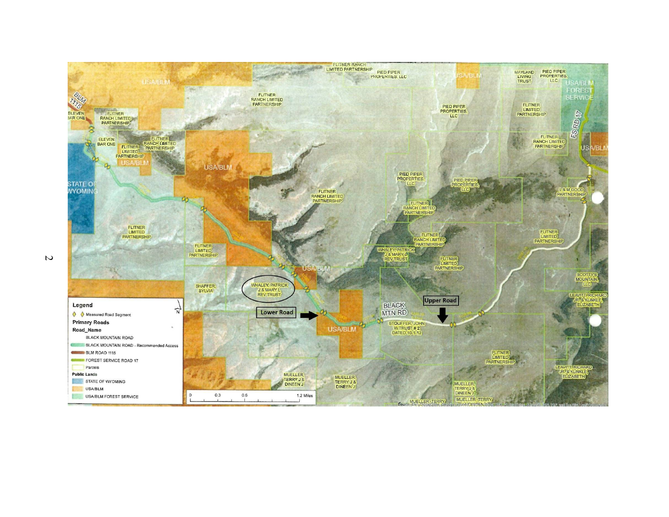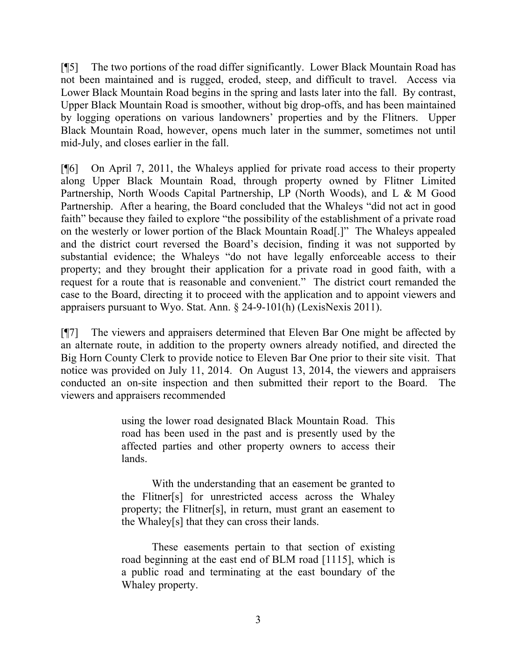[¶5] The two portions of the road differ significantly. Lower Black Mountain Road has not been maintained and is rugged, eroded, steep, and difficult to travel. Access via Lower Black Mountain Road begins in the spring and lasts later into the fall. By contrast, Upper Black Mountain Road is smoother, without big drop-offs, and has been maintained by logging operations on various landowners' properties and by the Flitners. Upper Black Mountain Road, however, opens much later in the summer, sometimes not until mid-July, and closes earlier in the fall.

[¶6] On April 7, 2011, the Whaleys applied for private road access to their property along Upper Black Mountain Road, through property owned by Flitner Limited Partnership, North Woods Capital Partnership, LP (North Woods), and L & M Good Partnership. After a hearing, the Board concluded that the Whaleys "did not act in good faith" because they failed to explore "the possibility of the establishment of a private road on the westerly or lower portion of the Black Mountain Road[.]" The Whaleys appealed and the district court reversed the Board's decision, finding it was not supported by substantial evidence; the Whaleys "do not have legally enforceable access to their property; and they brought their application for a private road in good faith, with a request for a route that is reasonable and convenient." The district court remanded the case to the Board, directing it to proceed with the application and to appoint viewers and appraisers pursuant to Wyo. Stat. Ann. § 24-9-101(h) (LexisNexis 2011).

[¶7] The viewers and appraisers determined that Eleven Bar One might be affected by an alternate route, in addition to the property owners already notified, and directed the Big Horn County Clerk to provide notice to Eleven Bar One prior to their site visit. That notice was provided on July 11, 2014. On August 13, 2014, the viewers and appraisers conducted an on-site inspection and then submitted their report to the Board. The viewers and appraisers recommended

> using the lower road designated Black Mountain Road. This road has been used in the past and is presently used by the affected parties and other property owners to access their lands.

> With the understanding that an easement be granted to the Flitner[s] for unrestricted access across the Whaley property; the Flitner[s], in return, must grant an easement to the Whaley[s] that they can cross their lands.

> These easements pertain to that section of existing road beginning at the east end of BLM road [1115], which is a public road and terminating at the east boundary of the Whaley property.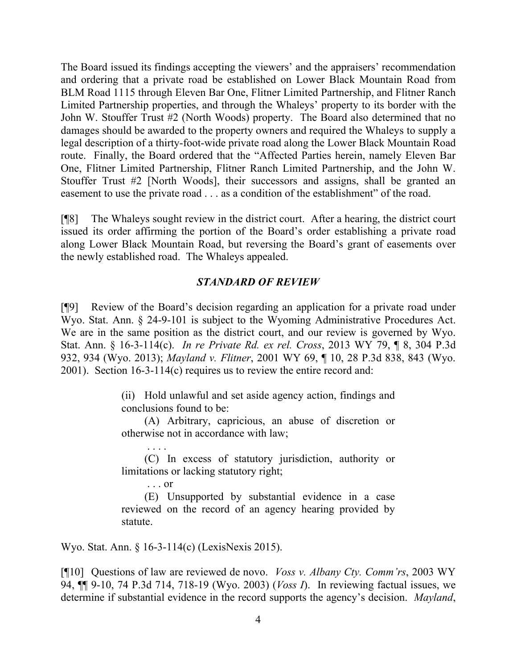The Board issued its findings accepting the viewers' and the appraisers' recommendation and ordering that a private road be established on Lower Black Mountain Road from BLM Road 1115 through Eleven Bar One, Flitner Limited Partnership, and Flitner Ranch Limited Partnership properties, and through the Whaleys' property to its border with the John W. Stouffer Trust #2 (North Woods) property. The Board also determined that no damages should be awarded to the property owners and required the Whaleys to supply a legal description of a thirty-foot-wide private road along the Lower Black Mountain Road route. Finally, the Board ordered that the "Affected Parties herein, namely Eleven Bar One, Flitner Limited Partnership, Flitner Ranch Limited Partnership, and the John W. Stouffer Trust #2 [North Woods], their successors and assigns, shall be granted an easement to use the private road . . . as a condition of the establishment" of the road.

[¶8] The Whaleys sought review in the district court. After a hearing, the district court issued its order affirming the portion of the Board's order establishing a private road along Lower Black Mountain Road, but reversing the Board's grant of easements over the newly established road. The Whaleys appealed.

## *STANDARD OF REVIEW*

[¶9] Review of the Board's decision regarding an application for a private road under Wyo. Stat. Ann. § 24-9-101 is subject to the Wyoming Administrative Procedures Act. We are in the same position as the district court, and our review is governed by Wyo. Stat. Ann. § 16-3-114(c). *In re Private Rd. ex rel. Cross*, 2013 WY 79, ¶ 8, 304 P.3d 932, 934 (Wyo. 2013); *Mayland v. Flitner*, 2001 WY 69, ¶ 10, 28 P.3d 838, 843 (Wyo. 2001). Section 16-3-114(c) requires us to review the entire record and:

> (ii) Hold unlawful and set aside agency action, findings and conclusions found to be:

> (A) Arbitrary, capricious, an abuse of discretion or otherwise not in accordance with law;

> (C) In excess of statutory jurisdiction, authority or limitations or lacking statutory right;

> . . . or (E) Unsupported by substantial evidence in a case reviewed on the record of an agency hearing provided by statute.

Wyo. Stat. Ann. § 16-3-114(c) (LexisNexis 2015).

. . . .

[¶10] Questions of law are reviewed de novo. *Voss v. Albany Cty. Comm'rs*, 2003 WY 94, ¶¶ 9-10, 74 P.3d 714, 718-19 (Wyo. 2003) (*Voss I*). In reviewing factual issues, we determine if substantial evidence in the record supports the agency's decision. *Mayland*,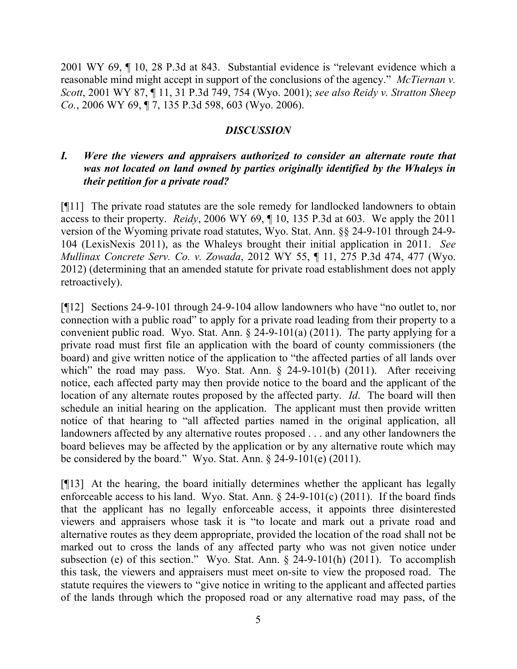2001 WY 69, ¶ 10, 28 P.3d at 843. Substantial evidence is "relevant evidence which a reasonable mind might accept in support of the conclusions of the agency." *McTiernan v. Scott*, 2001 WY 87, ¶ 11, 31 P.3d 749, 754 (Wyo. 2001); *see also Reidy v. Stratton Sheep Co.*, 2006 WY 69, ¶ 7, 135 P.3d 598, 603 (Wyo. 2006).

#### *DISCUSSION*

## *I. Were the viewers and appraisers authorized to consider an alternate route that was not located on land owned by parties originally identified by the Whaleys in their petition for a private road?*

[¶11] The private road statutes are the sole remedy for landlocked landowners to obtain access to their property. *Reidy*, 2006 WY 69, ¶ 10, 135 P.3d at 603. We apply the 2011 version of the Wyoming private road statutes, Wyo. Stat. Ann. §§ 24-9-101 through 24-9- 104 (LexisNexis 2011), as the Whaleys brought their initial application in 2011. *See Mullinax Concrete Serv. Co. v. Zowada*, 2012 WY 55, ¶ 11, 275 P.3d 474, 477 (Wyo. 2012) (determining that an amended statute for private road establishment does not apply retroactively).

[¶12] Sections 24-9-101 through 24-9-104 allow landowners who have "no outlet to, nor connection with a public road" to apply for a private road leading from their property to a convenient public road. Wyo. Stat. Ann.  $\S$  24-9-101(a) (2011). The party applying for a private road must first file an application with the board of county commissioners (the board) and give written notice of the application to "the affected parties of all lands over which" the road may pass. Wyo. Stat. Ann. § 24-9-101(b) (2011). After receiving notice, each affected party may then provide notice to the board and the applicant of the location of any alternate routes proposed by the affected party. *Id*. The board will then schedule an initial hearing on the application. The applicant must then provide written notice of that hearing to "all affected parties named in the original application, all landowners affected by any alternative routes proposed . . . and any other landowners the board believes may be affected by the application or by any alternative route which may be considered by the board." Wyo. Stat. Ann. § 24-9-101(e) (2011).

[¶13] At the hearing, the board initially determines whether the applicant has legally enforceable access to his land. Wyo. Stat. Ann.  $\S$  24-9-101(c) (2011). If the board finds that the applicant has no legally enforceable access, it appoints three disinterested viewers and appraisers whose task it is "to locate and mark out a private road and alternative routes as they deem appropriate, provided the location of the road shall not be marked out to cross the lands of any affected party who was not given notice under subsection (e) of this section." Wyo. Stat. Ann. § 24-9-101(h) (2011). To accomplish this task, the viewers and appraisers must meet on-site to view the proposed road. The statute requires the viewers to "give notice in writing to the applicant and affected parties of the lands through which the proposed road or any alternative road may pass, of the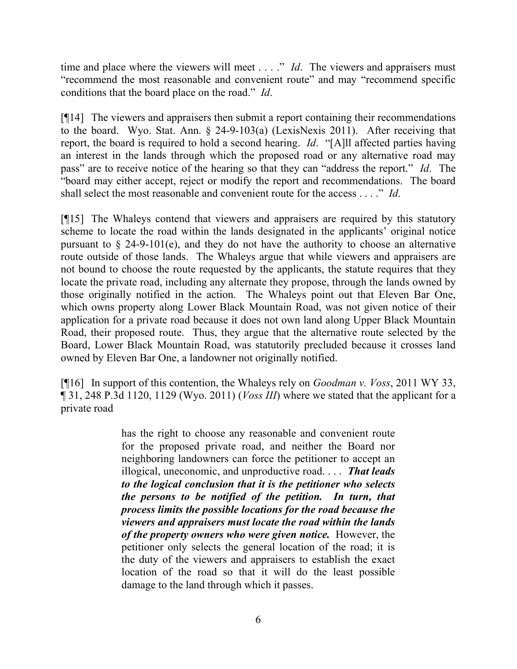time and place where the viewers will meet . . . ." *Id*. The viewers and appraisers must "recommend the most reasonable and convenient route" and may "recommend specific conditions that the board place on the road." *Id*.

[¶14] The viewers and appraisers then submit a report containing their recommendations to the board. Wyo. Stat. Ann. § 24-9-103(a) (LexisNexis 2011). After receiving that report, the board is required to hold a second hearing. *Id*. "[A]ll affected parties having an interest in the lands through which the proposed road or any alternative road may pass" are to receive notice of the hearing so that they can "address the report." *Id*. The "board may either accept, reject or modify the report and recommendations. The board shall select the most reasonable and convenient route for the access . . . ." *Id*.

[¶15] The Whaleys contend that viewers and appraisers are required by this statutory scheme to locate the road within the lands designated in the applicants' original notice pursuant to  $\S$  24-9-101(e), and they do not have the authority to choose an alternative route outside of those lands. The Whaleys argue that while viewers and appraisers are not bound to choose the route requested by the applicants, the statute requires that they locate the private road, including any alternate they propose, through the lands owned by those originally notified in the action. The Whaleys point out that Eleven Bar One, which owns property along Lower Black Mountain Road, was not given notice of their application for a private road because it does not own land along Upper Black Mountain Road, their proposed route. Thus, they argue that the alternative route selected by the Board, Lower Black Mountain Road, was statutorily precluded because it crosses land owned by Eleven Bar One, a landowner not originally notified.

[¶16] In support of this contention, the Whaleys rely on *Goodman v. Voss*, 2011 WY 33, ¶ 31, 248 P.3d 1120, 1129 (Wyo. 2011) (*Voss III*) where we stated that the applicant for a private road

> has the right to choose any reasonable and convenient route for the proposed private road, and neither the Board nor neighboring landowners can force the petitioner to accept an illogical, uneconomic, and unproductive road. . . . *That leads to the logical conclusion that it is the petitioner who selects the persons to be notified of the petition. In turn, that process limits the possible locations for the road because the viewers and appraisers must locate the road within the lands of the property owners who were given notice.* However, the petitioner only selects the general location of the road; it is the duty of the viewers and appraisers to establish the exact location of the road so that it will do the least possible damage to the land through which it passes.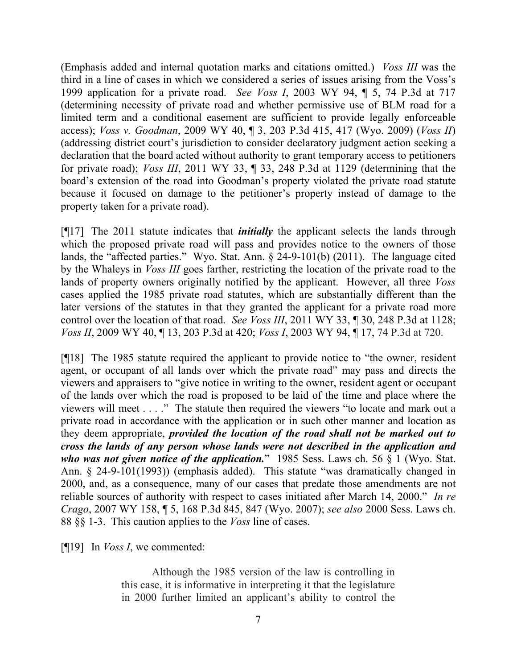(Emphasis added and internal quotation marks and citations omitted.) *Voss III* was the third in a line of cases in which we considered a series of issues arising from the Voss's 1999 application for a private road. *See Voss I*, 2003 WY 94, ¶ 5, 74 P.3d at 717 (determining necessity of private road and whether permissive use of BLM road for a limited term and a conditional easement are sufficient to provide legally enforceable access); *Voss v. Goodman*, 2009 WY 40, ¶ 3, 203 P.3d 415, 417 (Wyo. 2009) (*Voss II*) (addressing district court's jurisdiction to consider declaratory judgment action seeking a declaration that the board acted without authority to grant temporary access to petitioners for private road); *Voss III*, 2011 WY 33, ¶ 33, 248 P.3d at 1129 (determining that the board's extension of the road into Goodman's property violated the private road statute because it focused on damage to the petitioner's property instead of damage to the property taken for a private road).

[¶17] The 2011 statute indicates that *initially* the applicant selects the lands through which the proposed private road will pass and provides notice to the owners of those lands, the "affected parties." Wyo. Stat. Ann. § 24-9-101(b) (2011). The language cited by the Whaleys in *Voss III* goes farther, restricting the location of the private road to the lands of property owners originally notified by the applicant. However, all three *Voss* cases applied the 1985 private road statutes, which are substantially different than the later versions of the statutes in that they granted the applicant for a private road more control over the location of that road. *See Voss III*, 2011 WY 33, ¶ 30, 248 P.3d at 1128; *Voss II*, 2009 WY 40, ¶ 13, 203 P.3d at 420; *Voss I*, 2003 WY 94, ¶ 17, 74 P.3d at 720.

[¶18] The 1985 statute required the applicant to provide notice to "the owner, resident agent, or occupant of all lands over which the private road" may pass and directs the viewers and appraisers to "give notice in writing to the owner, resident agent or occupant of the lands over which the road is proposed to be laid of the time and place where the viewers will meet . . . ." The statute then required the viewers "to locate and mark out a private road in accordance with the application or in such other manner and location as they deem appropriate, *provided the location of the road shall not be marked out to cross the lands of any person whose lands were not described in the application and who was not given notice of the application.*" 1985 Sess. Laws ch. 56 § 1 (Wyo. Stat. Ann. § 24-9-101(1993)) (emphasis added). This statute "was dramatically changed in 2000, and, as a consequence, many of our cases that predate those amendments are not reliable sources of authority with respect to cases initiated after March 14, 2000." *In re Crago*, 2007 WY 158, ¶ 5, 168 P.3d 845, 847 (Wyo. 2007); *see also* 2000 Sess. Laws ch. 88 §§ 1-3. This caution applies to the *Voss* line of cases.

[¶19] In *Voss I*, we commented:

Although the 1985 version of the law is controlling in this case, it is informative in interpreting it that the legislature in 2000 further limited an applicant's ability to control the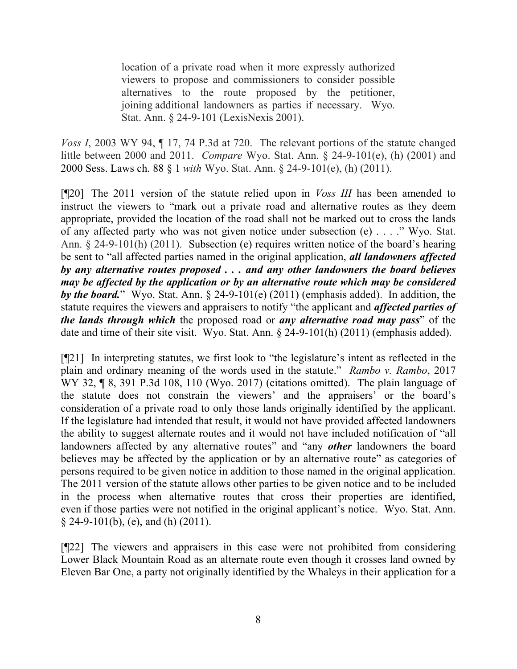location of a private road when it more expressly authorized viewers to propose and commissioners to consider possible alternatives to the route proposed by the petitioner, joining additional landowners as parties if necessary. Wyo. Stat. Ann. § 24-9-101 (LexisNexis 2001).

*Voss I*, 2003 WY 94, ¶ 17, 74 P.3d at 720. The relevant portions of the statute changed little between 2000 and 2011. *Compare* Wyo. Stat. Ann. § 24-9-101(e), (h) (2001) and 2000 Sess. Laws ch. 88 § 1 *with* Wyo. Stat. Ann. § 24-9-101(e), (h) (2011).

[¶20] The 2011 version of the statute relied upon in *Voss III* has been amended to instruct the viewers to "mark out a private road and alternative routes as they deem appropriate, provided the location of the road shall not be marked out to cross the lands of any affected party who was not given notice under subsection (e) . . . ." Wyo. Stat. Ann. § 24-9-101(h) (2011). Subsection (e) requires written notice of the board's hearing be sent to "all affected parties named in the original application, *all landowners affected by any alternative routes proposed . . . and any other landowners the board believes may be affected by the application or by an alternative route which may be considered by the board.*" Wyo. Stat. Ann. § 24-9-101(e) (2011) (emphasis added). In addition, the statute requires the viewers and appraisers to notify "the applicant and *affected parties of the lands through which* the proposed road or *any alternative road may pass*" of the date and time of their site visit. Wyo. Stat. Ann. § 24-9-101(h) (2011) (emphasis added).

[¶21] In interpreting statutes, we first look to "the legislature's intent as reflected in the plain and ordinary meaning of the words used in the statute." *Rambo v. Rambo*, 2017 WY 32, ¶ 8, 391 P.3d 108, 110 (Wyo. 2017) (citations omitted). The plain language of the statute does not constrain the viewers' and the appraisers' or the board's consideration of a private road to only those lands originally identified by the applicant. If the legislature had intended that result, it would not have provided affected landowners the ability to suggest alternate routes and it would not have included notification of "all landowners affected by any alternative routes" and "any *other* landowners the board believes may be affected by the application or by an alternative route" as categories of persons required to be given notice in addition to those named in the original application. The 2011 version of the statute allows other parties to be given notice and to be included in the process when alternative routes that cross their properties are identified, even if those parties were not notified in the original applicant's notice. Wyo. Stat. Ann.  $§$  24-9-101(b), (e), and (h) (2011).

[¶22] The viewers and appraisers in this case were not prohibited from considering Lower Black Mountain Road as an alternate route even though it crosses land owned by Eleven Bar One, a party not originally identified by the Whaleys in their application for a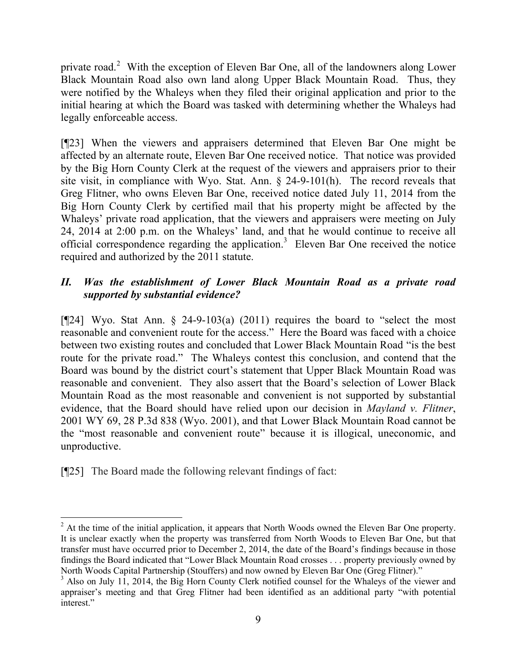private road.<sup>2</sup> With the exception of Eleven Bar One, all of the landowners along Lower Black Mountain Road also own land along Upper Black Mountain Road. Thus, they were notified by the Whaleys when they filed their original application and prior to the initial hearing at which the Board was tasked with determining whether the Whaleys had legally enforceable access.

[¶23] When the viewers and appraisers determined that Eleven Bar One might be affected by an alternate route, Eleven Bar One received notice. That notice was provided by the Big Horn County Clerk at the request of the viewers and appraisers prior to their site visit, in compliance with Wyo. Stat. Ann. § 24-9-101(h). The record reveals that Greg Flitner, who owns Eleven Bar One, received notice dated July 11, 2014 from the Big Horn County Clerk by certified mail that his property might be affected by the Whaleys' private road application, that the viewers and appraisers were meeting on July 24, 2014 at 2:00 p.m. on the Whaleys' land, and that he would continue to receive all official correspondence regarding the application.<sup>3</sup> Eleven Bar One received the notice required and authorized by the 2011 statute.

# *II. Was the establishment of Lower Black Mountain Road as a private road supported by substantial evidence?*

[ $[24]$  Wyo. Stat Ann. § 24-9-103(a) (2011) requires the board to "select the most reasonable and convenient route for the access." Here the Board was faced with a choice between two existing routes and concluded that Lower Black Mountain Road "is the best route for the private road." The Whaleys contest this conclusion, and contend that the Board was bound by the district court's statement that Upper Black Mountain Road was reasonable and convenient. They also assert that the Board's selection of Lower Black Mountain Road as the most reasonable and convenient is not supported by substantial evidence, that the Board should have relied upon our decision in *Mayland v. Flitner*, 2001 WY 69, 28 P.3d 838 (Wyo. 2001), and that Lower Black Mountain Road cannot be the "most reasonable and convenient route" because it is illogical, uneconomic, and unproductive.

[¶25] The Board made the following relevant findings of fact:

 $2$  At the time of the initial application, it appears that North Woods owned the Eleven Bar One property. It is unclear exactly when the property was transferred from North Woods to Eleven Bar One, but that transfer must have occurred prior to December 2, 2014, the date of the Board's findings because in those findings the Board indicated that "Lower Black Mountain Road crosses . . . property previously owned by North Woods Capital Partnership (Stouffers) and now owned by Eleven Bar One (Greg Flitner)."

<sup>&</sup>lt;sup>3</sup> Also on July 11, 2014, the Big Horn County Clerk notified counsel for the Whaleys of the viewer and appraiser's meeting and that Greg Flitner had been identified as an additional party "with potential interest."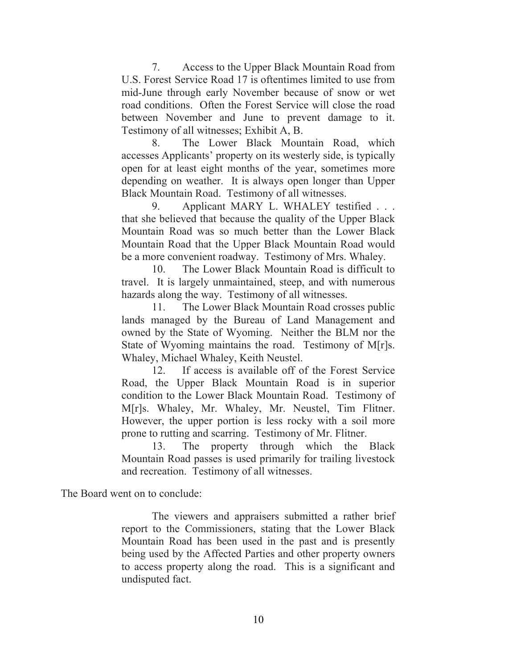7. Access to the Upper Black Mountain Road from U.S. Forest Service Road 17 is oftentimes limited to use from mid-June through early November because of snow or wet road conditions. Often the Forest Service will close the road between November and June to prevent damage to it. Testimony of all witnesses; Exhibit A, B.

8. The Lower Black Mountain Road, which accesses Applicants' property on its westerly side, is typically open for at least eight months of the year, sometimes more depending on weather. It is always open longer than Upper Black Mountain Road. Testimony of all witnesses.

9. Applicant MARY L. WHALEY testified . . . that she believed that because the quality of the Upper Black Mountain Road was so much better than the Lower Black Mountain Road that the Upper Black Mountain Road would be a more convenient roadway. Testimony of Mrs. Whaley.

10. The Lower Black Mountain Road is difficult to travel. It is largely unmaintained, steep, and with numerous hazards along the way. Testimony of all witnesses.

11. The Lower Black Mountain Road crosses public lands managed by the Bureau of Land Management and owned by the State of Wyoming. Neither the BLM nor the State of Wyoming maintains the road. Testimony of M[r]s. Whaley, Michael Whaley, Keith Neustel.

12. If access is available off of the Forest Service Road, the Upper Black Mountain Road is in superior condition to the Lower Black Mountain Road. Testimony of M[r]s. Whaley, Mr. Whaley, Mr. Neustel, Tim Flitner. However, the upper portion is less rocky with a soil more prone to rutting and scarring. Testimony of Mr. Flitner.

13. The property through which the Black Mountain Road passes is used primarily for trailing livestock and recreation. Testimony of all witnesses.

The Board went on to conclude:

The viewers and appraisers submitted a rather brief report to the Commissioners, stating that the Lower Black Mountain Road has been used in the past and is presently being used by the Affected Parties and other property owners to access property along the road. This is a significant and undisputed fact.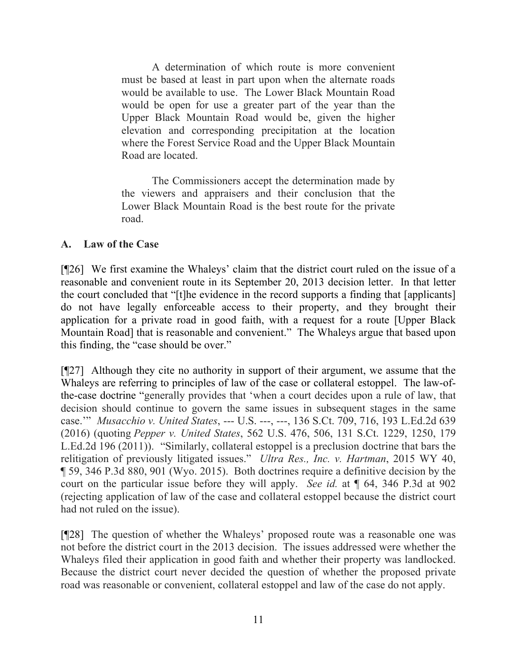A determination of which route is more convenient must be based at least in part upon when the alternate roads would be available to use. The Lower Black Mountain Road would be open for use a greater part of the year than the Upper Black Mountain Road would be, given the higher elevation and corresponding precipitation at the location where the Forest Service Road and the Upper Black Mountain Road are located.

The Commissioners accept the determination made by the viewers and appraisers and their conclusion that the Lower Black Mountain Road is the best route for the private road.

# **A. Law of the Case**

[¶26] We first examine the Whaleys' claim that the district court ruled on the issue of a reasonable and convenient route in its September 20, 2013 decision letter. In that letter the court concluded that "[t]he evidence in the record supports a finding that [applicants] do not have legally enforceable access to their property, and they brought their application for a private road in good faith, with a request for a route [Upper Black Mountain Road] that is reasonable and convenient." The Whaleys argue that based upon this finding, the "case should be over."

[¶27] Although they cite no authority in support of their argument, we assume that the Whaleys are referring to principles of law of the case or collateral estoppel. The law-ofthe-case doctrine "generally provides that 'when a court decides upon a rule of law, that decision should continue to govern the same issues in subsequent stages in the same case.'" *Musacchio v. United States*, --- U.S. ---, ---, 136 S.Ct. 709, 716, 193 L.Ed.2d 639 (2016) (quoting *Pepper v. United States*, 562 U.S. 476, 506, 131 S.Ct. 1229, 1250, 179 L.Ed.2d 196 (2011)). "Similarly, collateral estoppel is a preclusion doctrine that bars the relitigation of previously litigated issues." *Ultra Res., Inc. v. Hartman*, 2015 WY 40, ¶ 59, 346 P.3d 880, 901 (Wyo. 2015). Both doctrines require a definitive decision by the court on the particular issue before they will apply. *See id.* at ¶ 64, 346 P.3d at 902 (rejecting application of law of the case and collateral estoppel because the district court had not ruled on the issue).

[¶28] The question of whether the Whaleys' proposed route was a reasonable one was not before the district court in the 2013 decision. The issues addressed were whether the Whaleys filed their application in good faith and whether their property was landlocked. Because the district court never decided the question of whether the proposed private road was reasonable or convenient, collateral estoppel and law of the case do not apply.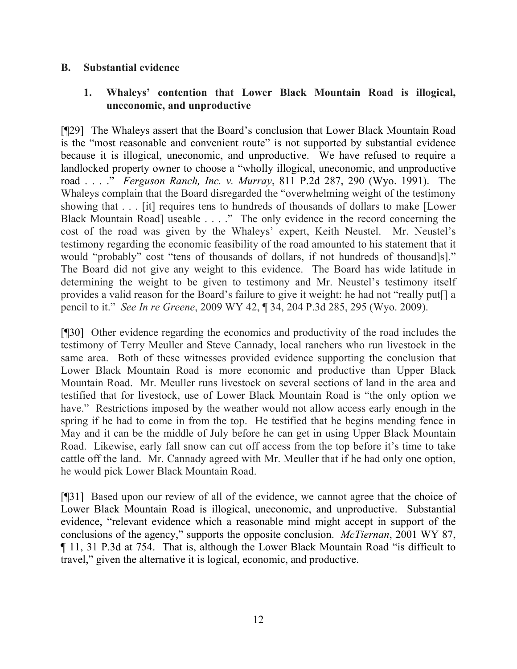#### **B. Substantial evidence**

# **1. Whaleys' contention that Lower Black Mountain Road is illogical, uneconomic, and unproductive**

[¶29] The Whaleys assert that the Board's conclusion that Lower Black Mountain Road is the "most reasonable and convenient route" is not supported by substantial evidence because it is illogical, uneconomic, and unproductive. We have refused to require a landlocked property owner to choose a "wholly illogical, uneconomic, and unproductive road . . . ." *Ferguson Ranch, Inc. v. Murray*, 811 P.2d 287, 290 (Wyo. 1991). The Whaleys complain that the Board disregarded the "overwhelming weight of the testimony showing that . . . [it] requires tens to hundreds of thousands of dollars to make [Lower Black Mountain Road] useable . . . ." The only evidence in the record concerning the cost of the road was given by the Whaleys' expert, Keith Neustel. Mr. Neustel's testimony regarding the economic feasibility of the road amounted to his statement that it would "probably" cost "tens of thousands of dollars, if not hundreds of thousand]s]." The Board did not give any weight to this evidence. The Board has wide latitude in determining the weight to be given to testimony and Mr. Neustel's testimony itself provides a valid reason for the Board's failure to give it weight: he had not "really put[] a pencil to it." *See In re Greene*, 2009 WY 42, ¶ 34, 204 P.3d 285, 295 (Wyo. 2009).

[¶30] Other evidence regarding the economics and productivity of the road includes the testimony of Terry Meuller and Steve Cannady, local ranchers who run livestock in the same area. Both of these witnesses provided evidence supporting the conclusion that Lower Black Mountain Road is more economic and productive than Upper Black Mountain Road. Mr. Meuller runs livestock on several sections of land in the area and testified that for livestock, use of Lower Black Mountain Road is "the only option we have." Restrictions imposed by the weather would not allow access early enough in the spring if he had to come in from the top. He testified that he begins mending fence in May and it can be the middle of July before he can get in using Upper Black Mountain Road. Likewise, early fall snow can cut off access from the top before it's time to take cattle off the land. Mr. Cannady agreed with Mr. Meuller that if he had only one option, he would pick Lower Black Mountain Road.

[¶31] Based upon our review of all of the evidence, we cannot agree that the choice of Lower Black Mountain Road is illogical, uneconomic, and unproductive. Substantial evidence, "relevant evidence which a reasonable mind might accept in support of the conclusions of the agency," supports the opposite conclusion. *McTiernan*, 2001 WY 87, ¶ 11, 31 P.3d at 754. That is, although the Lower Black Mountain Road "is difficult to travel," given the alternative it is logical, economic, and productive.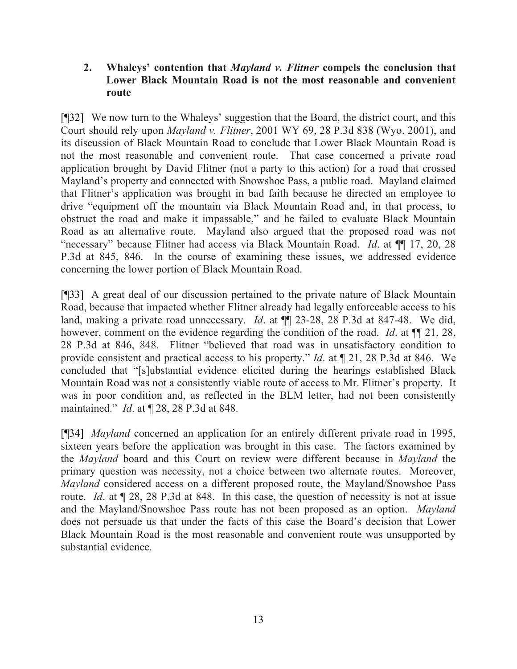## **2. Whaleys' contention that** *Mayland v. Flitner* **compels the conclusion that Lower Black Mountain Road is not the most reasonable and convenient route**

[¶32] We now turn to the Whaleys' suggestion that the Board, the district court, and this Court should rely upon *Mayland v. Flitner*, 2001 WY 69, 28 P.3d 838 (Wyo. 2001), and its discussion of Black Mountain Road to conclude that Lower Black Mountain Road is not the most reasonable and convenient route. That case concerned a private road application brought by David Flitner (not a party to this action) for a road that crossed Mayland's property and connected with Snowshoe Pass, a public road. Mayland claimed that Flitner's application was brought in bad faith because he directed an employee to drive "equipment off the mountain via Black Mountain Road and, in that process, to obstruct the road and make it impassable," and he failed to evaluate Black Mountain Road as an alternative route. Mayland also argued that the proposed road was not "necessary" because Flitner had access via Black Mountain Road. *Id*. at ¶¶ 17, 20, 28 P.3d at 845, 846. In the course of examining these issues, we addressed evidence concerning the lower portion of Black Mountain Road.

[¶33] A great deal of our discussion pertained to the private nature of Black Mountain Road, because that impacted whether Flitner already had legally enforceable access to his land, making a private road unnecessary. *Id*. at ¶¶ 23-28, 28 P.3d at 847-48. We did, however, comment on the evidence regarding the condition of the road. *Id*. at ¶¶ 21, 28, 28 P.3d at 846, 848. Flitner "believed that road was in unsatisfactory condition to provide consistent and practical access to his property." *Id*. at ¶ 21, 28 P.3d at 846. We concluded that "[s]ubstantial evidence elicited during the hearings established Black Mountain Road was not a consistently viable route of access to Mr. Flitner's property. It was in poor condition and, as reflected in the BLM letter, had not been consistently maintained." *Id*. at ¶ 28, 28 P.3d at 848.

[¶34] *Mayland* concerned an application for an entirely different private road in 1995, sixteen years before the application was brought in this case. The factors examined by the *Mayland* board and this Court on review were different because in *Mayland* the primary question was necessity, not a choice between two alternate routes. Moreover, *Mayland* considered access on a different proposed route, the Mayland/Snowshoe Pass route. *Id*. at ¶ 28, 28 P.3d at 848. In this case, the question of necessity is not at issue and the Mayland/Snowshoe Pass route has not been proposed as an option. *Mayland* does not persuade us that under the facts of this case the Board's decision that Lower Black Mountain Road is the most reasonable and convenient route was unsupported by substantial evidence.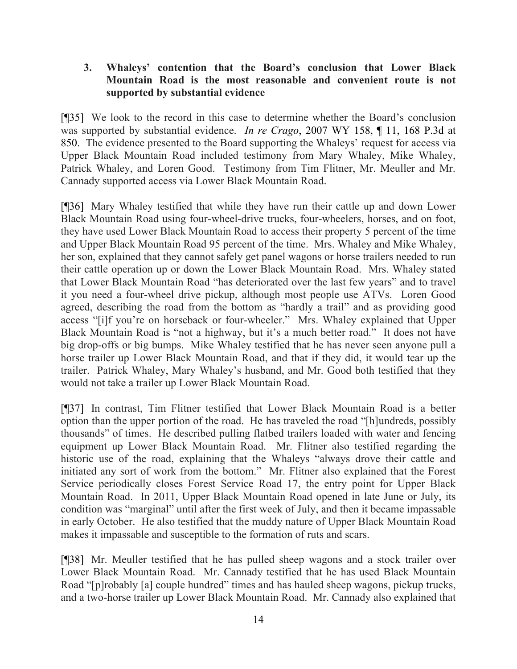# **3. Whaleys' contention that the Board's conclusion that Lower Black Mountain Road is the most reasonable and convenient route is not supported by substantial evidence**

[¶35] We look to the record in this case to determine whether the Board's conclusion was supported by substantial evidence. *In re Crago*, 2007 WY 158, ¶ 11, 168 P.3d at 850. The evidence presented to the Board supporting the Whaleys' request for access via Upper Black Mountain Road included testimony from Mary Whaley, Mike Whaley, Patrick Whaley, and Loren Good. Testimony from Tim Flitner, Mr. Meuller and Mr. Cannady supported access via Lower Black Mountain Road.

[¶36] Mary Whaley testified that while they have run their cattle up and down Lower Black Mountain Road using four-wheel-drive trucks, four-wheelers, horses, and on foot, they have used Lower Black Mountain Road to access their property 5 percent of the time and Upper Black Mountain Road 95 percent of the time. Mrs. Whaley and Mike Whaley, her son, explained that they cannot safely get panel wagons or horse trailers needed to run their cattle operation up or down the Lower Black Mountain Road. Mrs. Whaley stated that Lower Black Mountain Road "has deteriorated over the last few years" and to travel it you need a four-wheel drive pickup, although most people use ATVs. Loren Good agreed, describing the road from the bottom as "hardly a trail" and as providing good access "[i]f you're on horseback or four-wheeler." Mrs. Whaley explained that Upper Black Mountain Road is "not a highway, but it's a much better road." It does not have big drop-offs or big bumps. Mike Whaley testified that he has never seen anyone pull a horse trailer up Lower Black Mountain Road, and that if they did, it would tear up the trailer. Patrick Whaley, Mary Whaley's husband, and Mr. Good both testified that they would not take a trailer up Lower Black Mountain Road.

[¶37] In contrast, Tim Flitner testified that Lower Black Mountain Road is a better option than the upper portion of the road. He has traveled the road "[h]undreds, possibly thousands" of times. He described pulling flatbed trailers loaded with water and fencing equipment up Lower Black Mountain Road. Mr. Flitner also testified regarding the historic use of the road, explaining that the Whaleys "always drove their cattle and initiated any sort of work from the bottom." Mr. Flitner also explained that the Forest Service periodically closes Forest Service Road 17, the entry point for Upper Black Mountain Road. In 2011, Upper Black Mountain Road opened in late June or July, its condition was "marginal" until after the first week of July, and then it became impassable in early October. He also testified that the muddy nature of Upper Black Mountain Road makes it impassable and susceptible to the formation of ruts and scars.

[¶38] Mr. Meuller testified that he has pulled sheep wagons and a stock trailer over Lower Black Mountain Road. Mr. Cannady testified that he has used Black Mountain Road "[p]robably [a] couple hundred" times and has hauled sheep wagons, pickup trucks, and a two-horse trailer up Lower Black Mountain Road. Mr. Cannady also explained that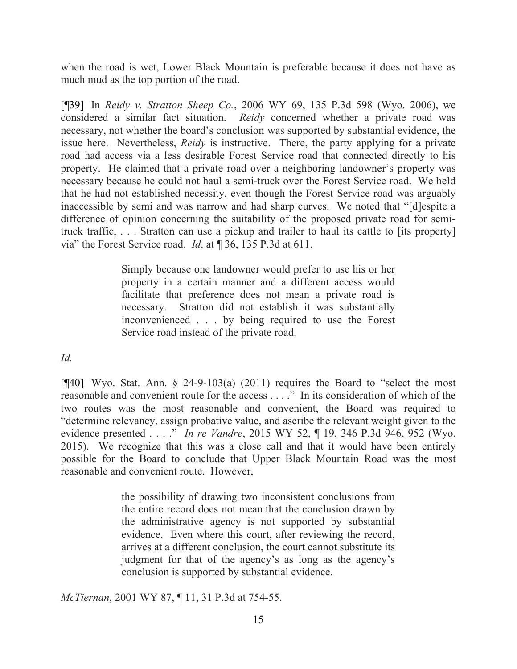when the road is wet, Lower Black Mountain is preferable because it does not have as much mud as the top portion of the road.

[¶39] In *Reidy v. Stratton Sheep Co.*, 2006 WY 69, 135 P.3d 598 (Wyo. 2006), we considered a similar fact situation. *Reidy* concerned whether a private road was necessary, not whether the board's conclusion was supported by substantial evidence, the issue here. Nevertheless, *Reidy* is instructive. There, the party applying for a private road had access via a less desirable Forest Service road that connected directly to his property. He claimed that a private road over a neighboring landowner's property was necessary because he could not haul a semi-truck over the Forest Service road. We held that he had not established necessity, even though the Forest Service road was arguably inaccessible by semi and was narrow and had sharp curves. We noted that "[d]espite a difference of opinion concerning the suitability of the proposed private road for semitruck traffic, . . . Stratton can use a pickup and trailer to haul its cattle to [its property] via" the Forest Service road. *Id*. at ¶ 36, 135 P.3d at 611.

> Simply because one landowner would prefer to use his or her property in a certain manner and a different access would facilitate that preference does not mean a private road is necessary. Stratton did not establish it was substantially inconvenienced . . . by being required to use the Forest Service road instead of the private road.

*Id.*

[ $[$ 40] Wyo. Stat. Ann. § 24-9-103(a) (2011) requires the Board to "select the most reasonable and convenient route for the access . . . ." In its consideration of which of the two routes was the most reasonable and convenient, the Board was required to "determine relevancy, assign probative value, and ascribe the relevant weight given to the evidence presented . . . ." *In re Vandre*, 2015 WY 52, ¶ 19, 346 P.3d 946, 952 (Wyo. 2015). We recognize that this was a close call and that it would have been entirely possible for the Board to conclude that Upper Black Mountain Road was the most reasonable and convenient route. However,

> the possibility of drawing two inconsistent conclusions from the entire record does not mean that the conclusion drawn by the administrative agency is not supported by substantial evidence. Even where this court, after reviewing the record, arrives at a different conclusion, the court cannot substitute its judgment for that of the agency's as long as the agency's conclusion is supported by substantial evidence.

*McTiernan*, 2001 WY 87, ¶ 11, 31 P.3d at 754-55.